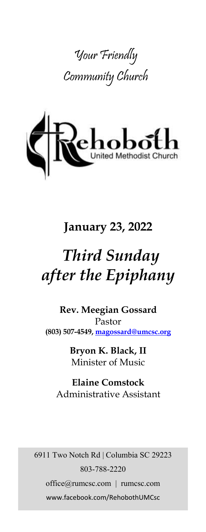



# **January 23, 2022**

# *Third Sunday after the Epiphany*

**Rev. Meegian Gossard** Pastor **(803) 507-4549, magossard@umcsc.org**

> **Bryon K. Black, II** Minister of Music

**Elaine Comstock** Administrative Assistant

6911 Two Notch Rd | Columbia SC 29223 803-788-2220 office@rumcsc.com | rumcsc.com www.facebook.com/RehobothUMCsc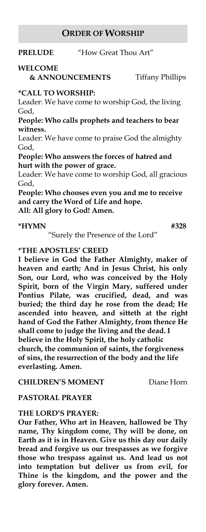#### **ORDER OF WORSHIP**

#### **PRELUDE** "How Great Thou Art"

#### **WELCOME**

 **& ANNOUNCEMENTS** Tiffany Phillips

#### **\*CALL TO WORSHIP:**

Leader: We have come to worship God, the living God,

**People: Who calls prophets and teachers to bear witness.**

Leader: We have come to praise God the almighty God,

**People: Who answers the forces of hatred and hurt with the power of grace.**

Leader: We have come to worship God, all gracious God,

**People: Who chooses even you and me to receive and carry the Word of Life and hope.**

**All: All glory to God! Amen.**

#### **\*HYMN #328**

"Surely the Presence of the Lord"

#### **\*THE APOSTLES' CREED**

**I believe in God the Father Almighty, maker of heaven and earth; And in Jesus Christ, his only Son, our Lord, who was conceived by the Holy Spirit, born of the Virgin Mary, suffered under Pontius Pilate, was crucified, dead, and was buried; the third day he rose from the dead; He ascended into heaven, and sitteth at the right hand of God the Father Almighty, from thence He shall come to judge the living and the dead. I believe in the Holy Spirit, the holy catholic church, the communion of saints, the forgiveness of sins, the resurrection of the body and the life everlasting. Amen.**

#### **CHILDREN'S MOMENT** Diane Horn

#### **PASTORAL PRAYER**

#### **THE LORD'S PRAYER:**

**Our Father, Who art in Heaven, hallowed be Thy name, Thy kingdom come, Thy will be done, on Earth as it is in Heaven. Give us this day our daily bread and forgive us our trespasses as we forgive those who trespass against us. And lead us not into temptation but deliver us from evil, for Thine is the kingdom, and the power and the glory forever. Amen.**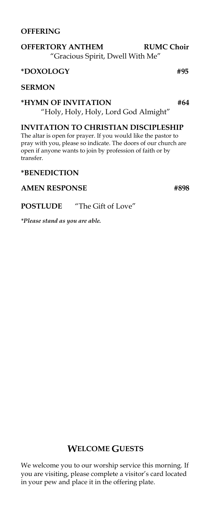#### **OFFERING**

#### **OFFERTORY ANTHEM RUMC Choir**  "Gracious Spirit, Dwell With Me"

#### **\*DOXOLOGY #95**

**SERMON** 

#### **\*HYMN OF INVITATION #64**  "Holy, Holy, Holy, Lord God Almight"

#### **INVITATION TO CHRISTIAN DISCIPLESHIP**

The altar is open for prayer. If you would like the pastor to pray with you, please so indicate. The doors of our church are open if anyone wants to join by profession of faith or by transfer.

#### **\*BENEDICTION**

#### AMEN RESPONSE #898

#### **POSTLUDE** "The Gift of Love"

*\*Please stand as you are able.*

### **WELCOME GUESTS**

We welcome you to our worship service this morning. If you are visiting, please complete a visitor's card located in your pew and place it in the offering plate.